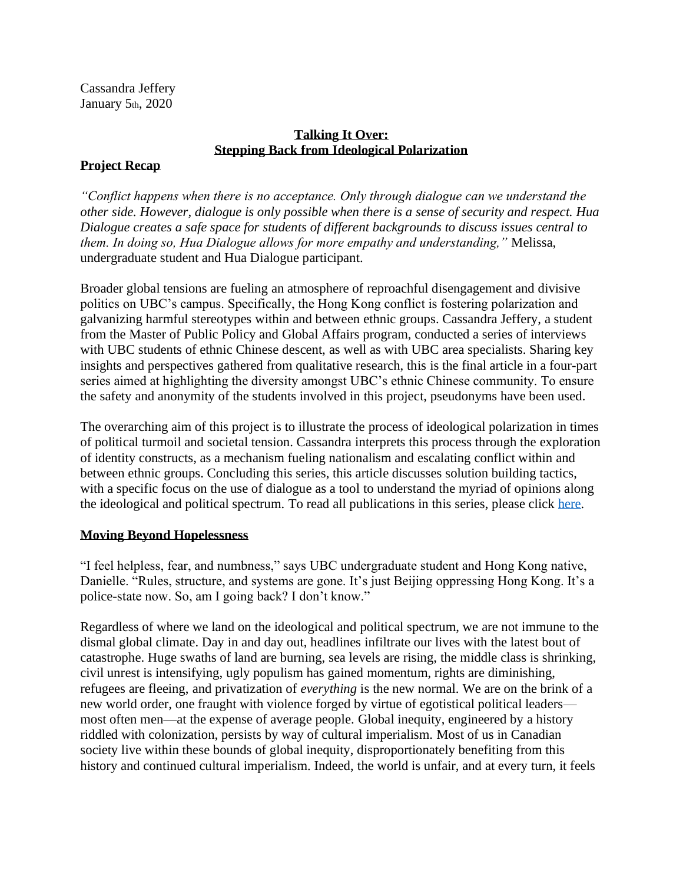Cassandra Jeffery January 5th, 2020

# **Talking It Over: Stepping Back from Ideological Polarization**

## **Project Recap**

*"Conflict happens when there is no acceptance. Only through dialogue can we understand the other side. However, dialogue is only possible when there is a sense of security and respect. Hua Dialogue creates a safe space for students of different backgrounds to discuss issues central to them. In doing so, Hua Dialogue allows for more empathy and understanding,"* Melissa, undergraduate student and Hua Dialogue participant.

Broader global tensions are fueling an atmosphere of reproachful disengagement and divisive politics on UBC's campus. Specifically, the Hong Kong conflict is fostering polarization and galvanizing harmful stereotypes within and between ethnic groups. Cassandra Jeffery, a student from the Master of Public Policy and Global Affairs program, conducted a series of interviews with UBC students of ethnic Chinese descent, as well as with UBC area specialists. Sharing key insights and perspectives gathered from qualitative research, this is the final article in a four-part series aimed at highlighting the diversity amongst UBC's ethnic Chinese community. To ensure the safety and anonymity of the students involved in this project, pseudonyms have been used.

The overarching aim of this project is to illustrate the process of ideological polarization in times of political turmoil and societal tension. Cassandra interprets this process through the exploration of identity constructs, as a mechanism fueling nationalism and escalating conflict within and between ethnic groups. Concluding this series, this article discusses solution building tactics, with a specific focus on the use of dialogue as a tool to understand the myriad of opinions along the ideological and political spectrum. To read all publications in this series, please click [here.](https://sppga.ubc.ca/news/hong-kong-contextualized-exploring-conflict-through-students-lens)

#### **Moving Beyond Hopelessness**

"I feel helpless, fear, and numbness," says UBC undergraduate student and Hong Kong native, Danielle. "Rules, structure, and systems are gone. It's just Beijing oppressing Hong Kong. It's a police-state now. So, am I going back? I don't know."

Regardless of where we land on the ideological and political spectrum, we are not immune to the dismal global climate. Day in and day out, headlines infiltrate our lives with the latest bout of catastrophe. Huge swaths of land are burning, sea levels are rising, the middle class is shrinking, civil unrest is intensifying, ugly populism has gained momentum, rights are diminishing, refugees are fleeing, and privatization of *everything* is the new normal. We are on the brink of a new world order, one fraught with violence forged by virtue of egotistical political leaders most often men—at the expense of average people. Global inequity, engineered by a history riddled with colonization, persists by way of cultural imperialism. Most of us in Canadian society live within these bounds of global inequity, disproportionately benefiting from this history and continued cultural imperialism. Indeed, the world is unfair, and at every turn, it feels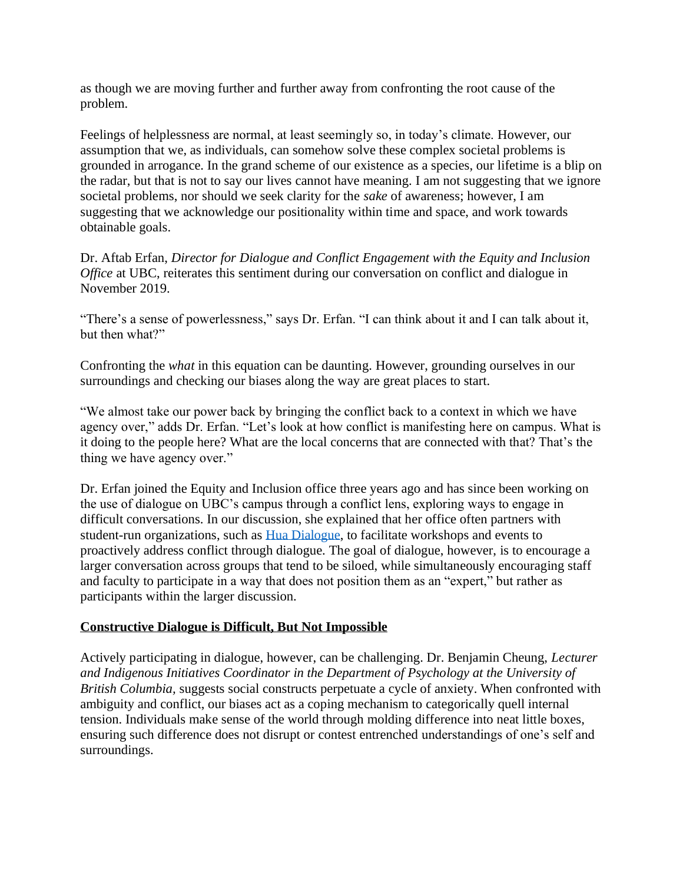as though we are moving further and further away from confronting the root cause of the problem.

Feelings of helplessness are normal, at least seemingly so, in today's climate. However, our assumption that we, as individuals, can somehow solve these complex societal problems is grounded in arrogance. In the grand scheme of our existence as a species, our lifetime is a blip on the radar, but that is not to say our lives cannot have meaning. I am not suggesting that we ignore societal problems, nor should we seek clarity for the *sake* of awareness; however, I am suggesting that we acknowledge our positionality within time and space, and work towards obtainable goals.

Dr. Aftab Erfan, *Director for Dialogue and Conflict Engagement with the Equity and Inclusion Office* at UBC, reiterates this sentiment during our conversation on conflict and dialogue in November 2019.

"There's a sense of powerlessness," says Dr. Erfan. "I can think about it and I can talk about it, but then what?"

Confronting the *what* in this equation can be daunting. However, grounding ourselves in our surroundings and checking our biases along the way are great places to start.

"We almost take our power back by bringing the conflict back to a context in which we have agency over," adds Dr. Erfan. "Let's look at how conflict is manifesting here on campus. What is it doing to the people here? What are the local concerns that are connected with that? That's the thing we have agency over."

Dr. Erfan joined the Equity and Inclusion office three years ago and has since been working on the use of dialogue on UBC's campus through a conflict lens, exploring ways to engage in difficult conversations. In our discussion, she explained that her office often partners with student-run organizations, such as [Hua Dialogue,](https://www.facebook.com/ubcdialogue/) to facilitate workshops and events to proactively address conflict through dialogue. The goal of dialogue, however, is to encourage a larger conversation across groups that tend to be siloed, while simultaneously encouraging staff and faculty to participate in a way that does not position them as an "expert," but rather as participants within the larger discussion.

#### **Constructive Dialogue is Difficult, But Not Impossible**

Actively participating in dialogue, however, can be challenging. Dr. Benjamin Cheung, *Lecturer and Indigenous Initiatives Coordinator in the Department of Psychology at the University of British Columbia,* suggests social constructs perpetuate a cycle of anxiety. When confronted with ambiguity and conflict, our biases act as a coping mechanism to categorically quell internal tension. Individuals make sense of the world through molding difference into neat little boxes, ensuring such difference does not disrupt or contest entrenched understandings of one's self and surroundings.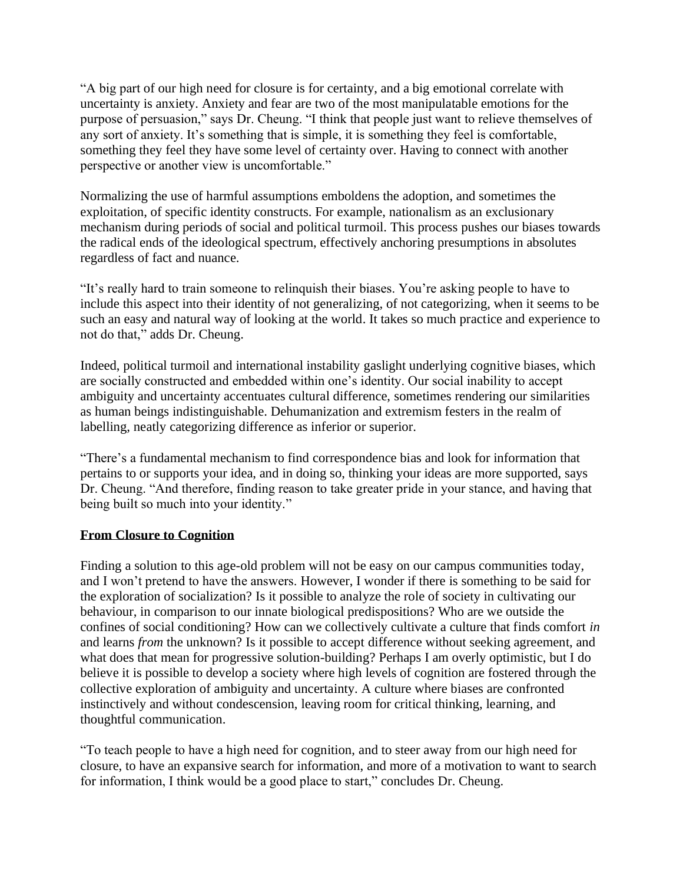"A big part of our high need for closure is for certainty, and a big emotional correlate with uncertainty is anxiety. Anxiety and fear are two of the most manipulatable emotions for the purpose of persuasion," says Dr. Cheung. "I think that people just want to relieve themselves of any sort of anxiety. It's something that is simple, it is something they feel is comfortable, something they feel they have some level of certainty over. Having to connect with another perspective or another view is uncomfortable."

Normalizing the use of harmful assumptions emboldens the adoption, and sometimes the exploitation, of specific identity constructs. For example, nationalism as an exclusionary mechanism during periods of social and political turmoil. This process pushes our biases towards the radical ends of the ideological spectrum, effectively anchoring presumptions in absolutes regardless of fact and nuance.

"It's really hard to train someone to relinquish their biases. You're asking people to have to include this aspect into their identity of not generalizing, of not categorizing, when it seems to be such an easy and natural way of looking at the world. It takes so much practice and experience to not do that," adds Dr. Cheung.

Indeed, political turmoil and international instability gaslight underlying cognitive biases, which are socially constructed and embedded within one's identity. Our social inability to accept ambiguity and uncertainty accentuates cultural difference, sometimes rendering our similarities as human beings indistinguishable. Dehumanization and extremism festers in the realm of labelling, neatly categorizing difference as inferior or superior.

"There's a fundamental mechanism to find correspondence bias and look for information that pertains to or supports your idea, and in doing so, thinking your ideas are more supported, says Dr. Cheung. "And therefore, finding reason to take greater pride in your stance, and having that being built so much into your identity."

#### **From Closure to Cognition**

Finding a solution to this age-old problem will not be easy on our campus communities today, and I won't pretend to have the answers. However, I wonder if there is something to be said for the exploration of socialization? Is it possible to analyze the role of society in cultivating our behaviour, in comparison to our innate biological predispositions? Who are we outside the confines of social conditioning? How can we collectively cultivate a culture that finds comfort *in* and learns *from* the unknown? Is it possible to accept difference without seeking agreement, and what does that mean for progressive solution-building? Perhaps I am overly optimistic, but I do believe it is possible to develop a society where high levels of cognition are fostered through the collective exploration of ambiguity and uncertainty. A culture where biases are confronted instinctively and without condescension, leaving room for critical thinking, learning, and thoughtful communication.

"To teach people to have a high need for cognition, and to steer away from our high need for closure, to have an expansive search for information, and more of a motivation to want to search for information, I think would be a good place to start," concludes Dr. Cheung.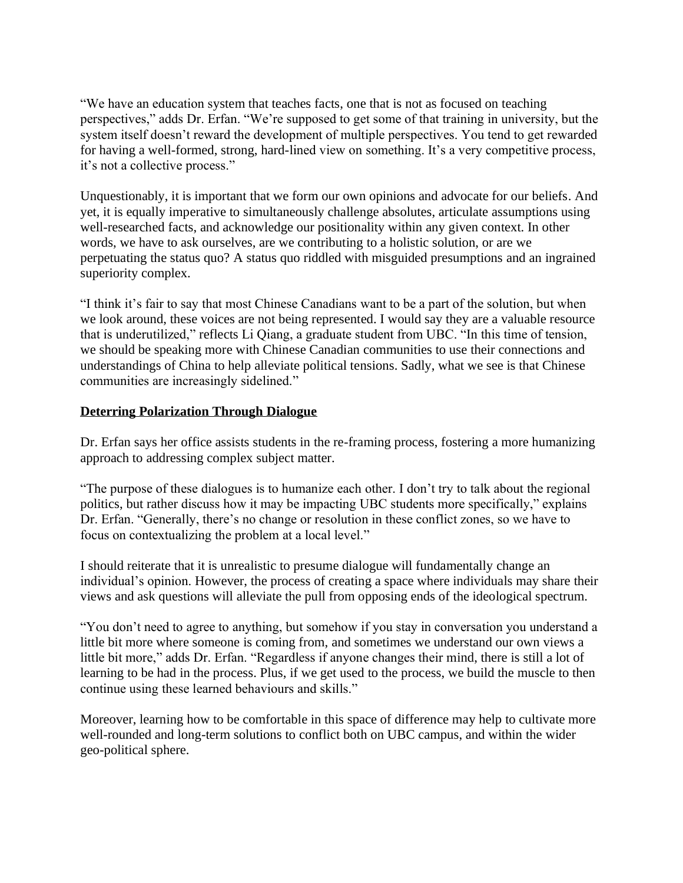"We have an education system that teaches facts, one that is not as focused on teaching perspectives," adds Dr. Erfan. "We're supposed to get some of that training in university, but the system itself doesn't reward the development of multiple perspectives. You tend to get rewarded for having a well-formed, strong, hard-lined view on something. It's a very competitive process, it's not a collective process."

Unquestionably, it is important that we form our own opinions and advocate for our beliefs. And yet, it is equally imperative to simultaneously challenge absolutes, articulate assumptions using well-researched facts, and acknowledge our positionality within any given context. In other words, we have to ask ourselves, are we contributing to a holistic solution, or are we perpetuating the status quo? A status quo riddled with misguided presumptions and an ingrained superiority complex.

"I think it's fair to say that most Chinese Canadians want to be a part of the solution, but when we look around, these voices are not being represented. I would say they are a valuable resource that is underutilized," reflects Li Qiang, a graduate student from UBC. "In this time of tension, we should be speaking more with Chinese Canadian communities to use their connections and understandings of China to help alleviate political tensions. Sadly, what we see is that Chinese communities are increasingly sidelined."

## **Deterring Polarization Through Dialogue**

Dr. Erfan says her office assists students in the re-framing process, fostering a more humanizing approach to addressing complex subject matter.

"The purpose of these dialogues is to humanize each other. I don't try to talk about the regional politics, but rather discuss how it may be impacting UBC students more specifically," explains Dr. Erfan. "Generally, there's no change or resolution in these conflict zones, so we have to focus on contextualizing the problem at a local level."

I should reiterate that it is unrealistic to presume dialogue will fundamentally change an individual's opinion. However, the process of creating a space where individuals may share their views and ask questions will alleviate the pull from opposing ends of the ideological spectrum.

"You don't need to agree to anything, but somehow if you stay in conversation you understand a little bit more where someone is coming from, and sometimes we understand our own views a little bit more," adds Dr. Erfan. "Regardless if anyone changes their mind, there is still a lot of learning to be had in the process. Plus, if we get used to the process, we build the muscle to then continue using these learned behaviours and skills."

Moreover, learning how to be comfortable in this space of difference may help to cultivate more well-rounded and long-term solutions to conflict both on UBC campus, and within the wider geo-political sphere.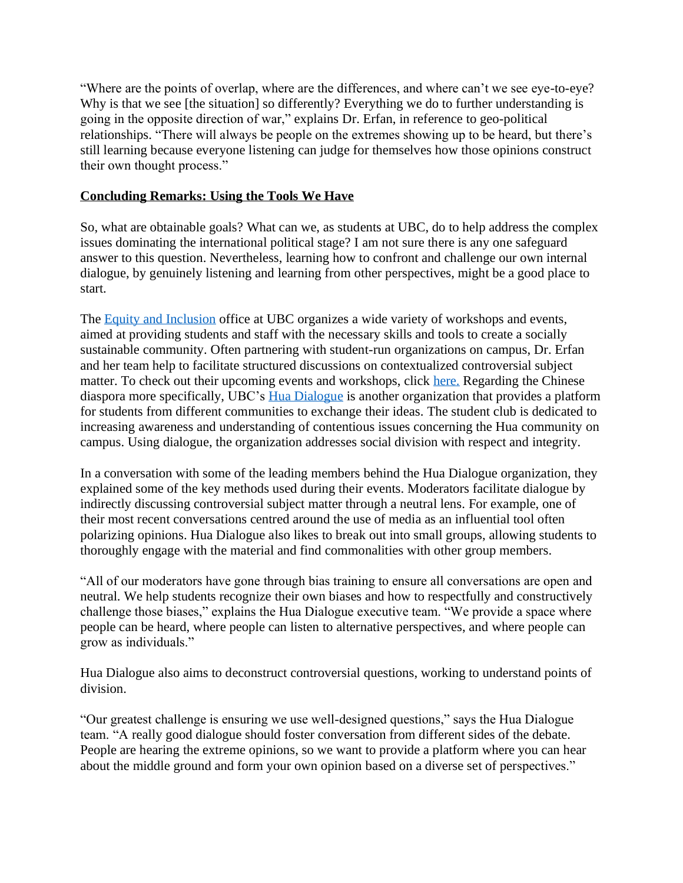"Where are the points of overlap, where are the differences, and where can't we see eye-to-eye? Why is that we see [the situation] so differently? Everything we do to further understanding is going in the opposite direction of war," explains Dr. Erfan, in reference to geo-political relationships. "There will always be people on the extremes showing up to be heard, but there's still learning because everyone listening can judge for themselves how those opinions construct their own thought process."

### **Concluding Remarks: Using the Tools We Have**

So, what are obtainable goals? What can we, as students at UBC, do to help address the complex issues dominating the international political stage? I am not sure there is any one safeguard answer to this question. Nevertheless, learning how to confront and challenge our own internal dialogue, by genuinely listening and learning from other perspectives, might be a good place to start.

The [Equity and Inclusion](https://equity.ubc.ca/) office at UBC organizes a wide variety of workshops and events, aimed at providing students and staff with the necessary skills and tools to create a socially sustainable community. Often partnering with student-run organizations on campus, Dr. Erfan and her team help to facilitate structured discussions on contextualized controversial subject matter. To check out their upcoming events and workshops, click [here.](https://equity.ubc.ca/events/listing/) Regarding the Chinese diaspora more specifically, UBC's [Hua Dialogue](https://www.facebook.com/pg/ubcdialogue/about/?ref=page_internal) is another organization that provides a platform for students from different communities to exchange their ideas. The student club is dedicated to increasing awareness and understanding of contentious issues concerning the Hua community on campus. Using dialogue, the organization addresses social division with respect and integrity.

In a conversation with some of the leading members behind the Hua Dialogue organization, they explained some of the key methods used during their events. Moderators facilitate dialogue by indirectly discussing controversial subject matter through a neutral lens. For example, one of their most recent conversations centred around the use of media as an influential tool often polarizing opinions. Hua Dialogue also likes to break out into small groups, allowing students to thoroughly engage with the material and find commonalities with other group members.

"All of our moderators have gone through bias training to ensure all conversations are open and neutral. We help students recognize their own biases and how to respectfully and constructively challenge those biases," explains the Hua Dialogue executive team. "We provide a space where people can be heard, where people can listen to alternative perspectives, and where people can grow as individuals."

Hua Dialogue also aims to deconstruct controversial questions, working to understand points of division.

"Our greatest challenge is ensuring we use well-designed questions," says the Hua Dialogue team. "A really good dialogue should foster conversation from different sides of the debate. People are hearing the extreme opinions, so we want to provide a platform where you can hear about the middle ground and form your own opinion based on a diverse set of perspectives."